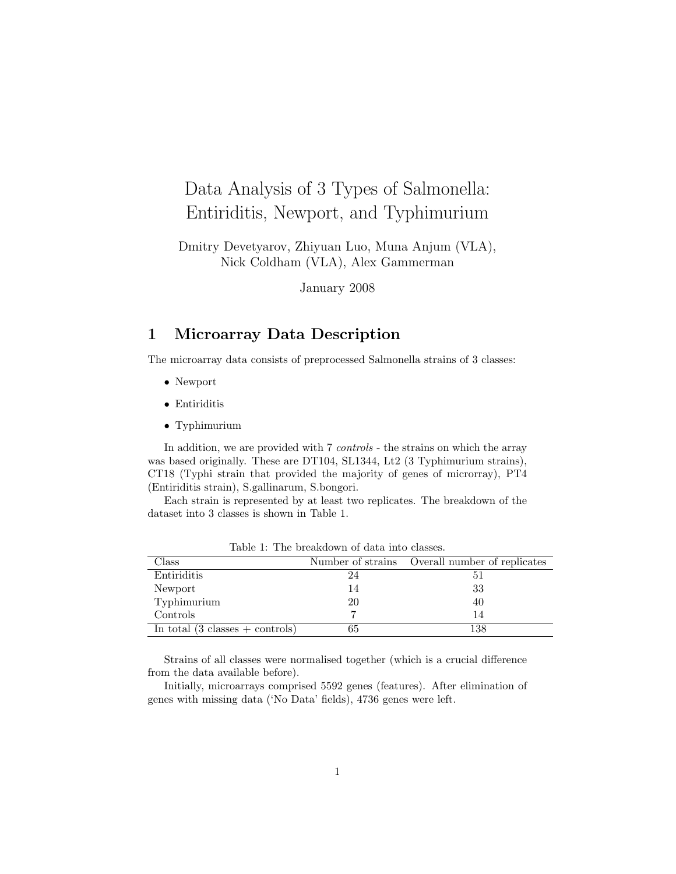# Data Analysis of 3 Types of Salmonella: Entiriditis, Newport, and Typhimurium

Dmitry Devetyarov, Zhiyuan Luo, Muna Anjum (VLA), Nick Coldham (VLA), Alex Gammerman

January 2008

## 1 Microarray Data Description

The microarray data consists of preprocessed Salmonella strains of 3 classes:

- Newport
- Entiriditis
- Typhimurium

In addition, we are provided with 7 *controls* - the strains on which the array was based originally. These are DT104, SL1344, Lt2 (3 Typhimurium strains), CT18 (Typhi strain that provided the majority of genes of microrray), PT4 (Entiriditis strain), S.gallinarum, S.bongori.

Each strain is represented by at least two replicates. The breakdown of the dataset into 3 classes is shown in Table 1.

| Class                                              |    | Number of strains Overall number of replicates |
|----------------------------------------------------|----|------------------------------------------------|
| Entiriditis                                        | 24 |                                                |
| Newport                                            | 14 | 33                                             |
| Typhimurium                                        | 20 | 40                                             |
| Controls                                           |    |                                                |
| In total $(3 \text{ classes } + \text{ controls})$ | 65 | 138                                            |

Table 1: The breakdown of data into classes.

Strains of all classes were normalised together (which is a crucial difference from the data available before).

Initially, microarrays comprised 5592 genes (features). After elimination of genes with missing data ('No Data' fields), 4736 genes were left.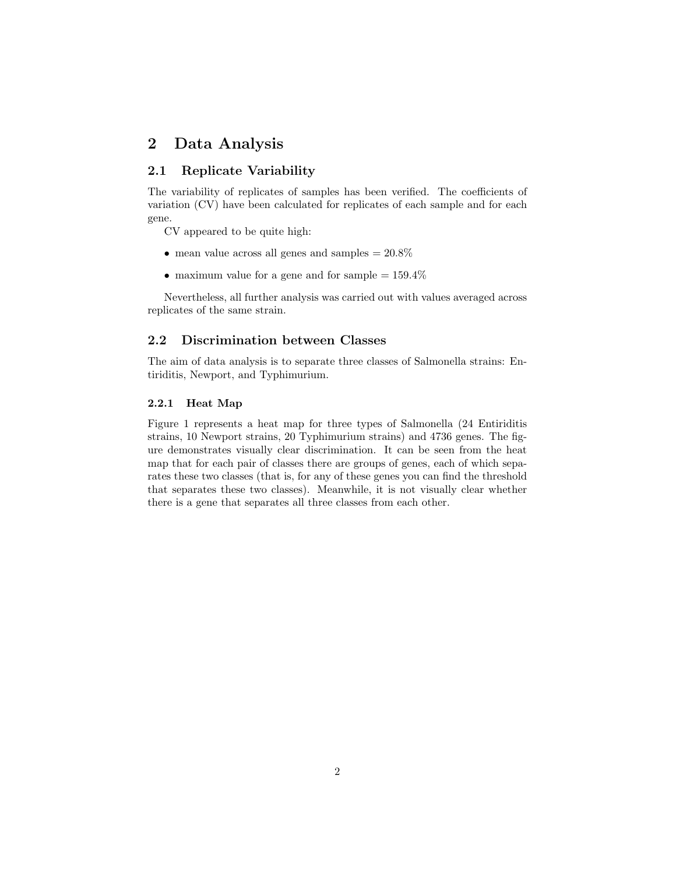# 2 Data Analysis

## 2.1 Replicate Variability

The variability of replicates of samples has been verified. The coefficients of variation (CV) have been calculated for replicates of each sample and for each gene.

CV appeared to be quite high:

- mean value across all genes and samples  $= 20.8\%$
- maximum value for a gene and for sample  $= 159.4\%$

Nevertheless, all further analysis was carried out with values averaged across replicates of the same strain.

## 2.2 Discrimination between Classes

The aim of data analysis is to separate three classes of Salmonella strains: Entiriditis, Newport, and Typhimurium.

### 2.2.1 Heat Map

Figure 1 represents a heat map for three types of Salmonella (24 Entiriditis strains, 10 Newport strains, 20 Typhimurium strains) and 4736 genes. The figure demonstrates visually clear discrimination. It can be seen from the heat map that for each pair of classes there are groups of genes, each of which separates these two classes (that is, for any of these genes you can find the threshold that separates these two classes). Meanwhile, it is not visually clear whether there is a gene that separates all three classes from each other.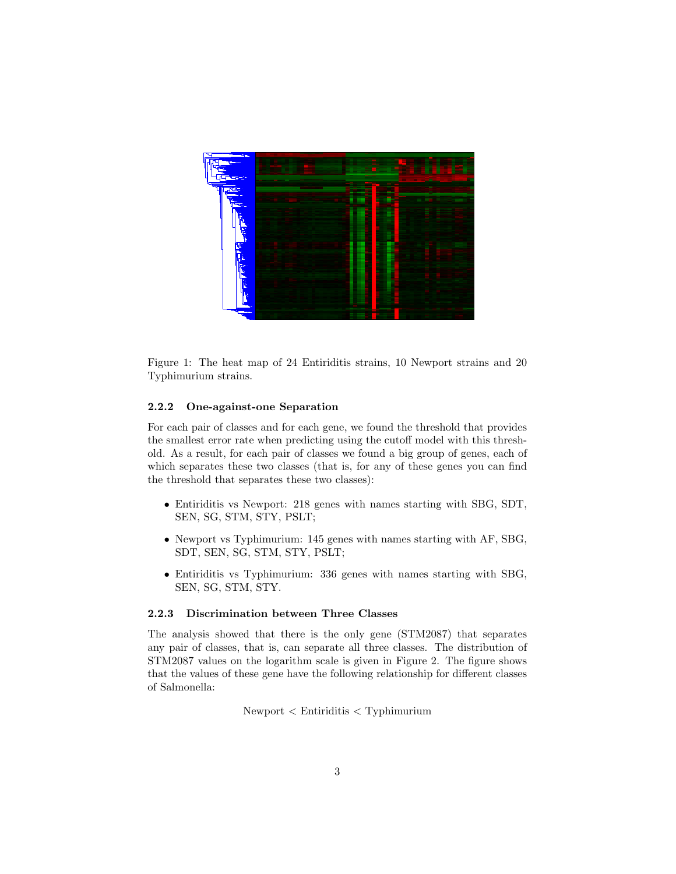

Figure 1: The heat map of 24 Entiriditis strains, 10 Newport strains and 20 Typhimurium strains.

### 2.2.2 One-against-one Separation

For each pair of classes and for each gene, we found the threshold that provides the smallest error rate when predicting using the cutoff model with this threshold. As a result, for each pair of classes we found a big group of genes, each of which separates these two classes (that is, for any of these genes you can find the threshold that separates these two classes):

- Entiriditis vs Newport: 218 genes with names starting with SBG, SDT, SEN, SG, STM, STY, PSLT;
- Newport vs Typhimurium: 145 genes with names starting with AF, SBG, SDT, SEN, SG, STM, STY, PSLT;
- Entiriditis vs Typhimurium: 336 genes with names starting with SBG, SEN, SG, STM, STY.

#### 2.2.3 Discrimination between Three Classes

The analysis showed that there is the only gene (STM2087) that separates any pair of classes, that is, can separate all three classes. The distribution of STM2087 values on the logarithm scale is given in Figure 2. The figure shows that the values of these gene have the following relationship for different classes of Salmonella:

Newport < Entiriditis < Typhimurium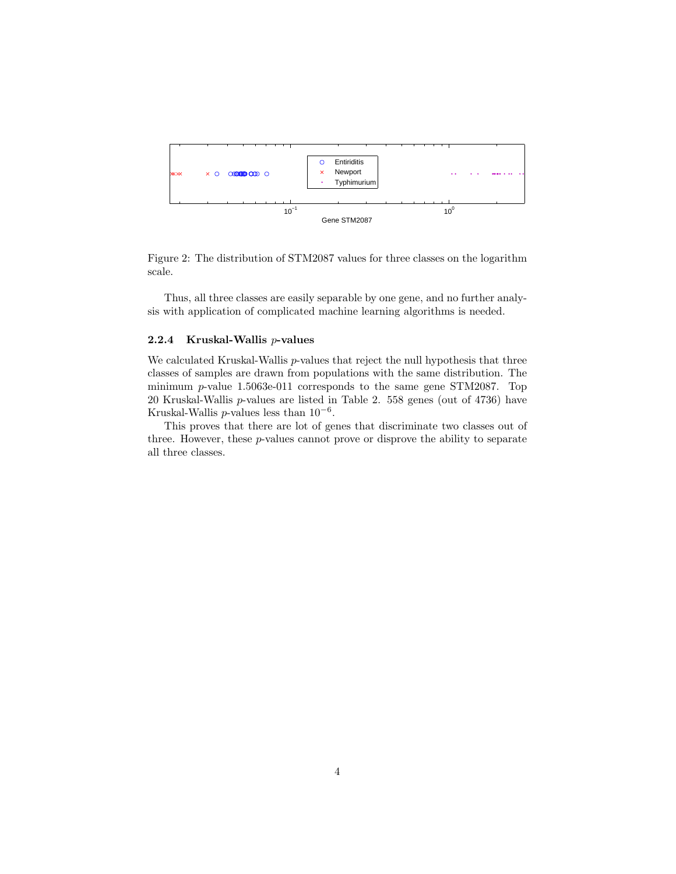

Figure 2: The distribution of STM2087 values for three classes on the logarithm scale.

Thus, all three classes are easily separable by one gene, and no further analysis with application of complicated machine learning algorithms is needed.

## 2.2.4 Kruskal-Wallis p-values

We calculated Kruskal-Wallis p-values that reject the null hypothesis that three classes of samples are drawn from populations with the same distribution. The minimum p-value 1.5063e-011 corresponds to the same gene STM2087. Top 20 Kruskal-Wallis p-values are listed in Table 2. 558 genes (out of 4736) have Kruskal-Wallis  $p$ -values less than  $10^{-6}$ .

This proves that there are lot of genes that discriminate two classes out of three. However, these p-values cannot prove or disprove the ability to separate all three classes.